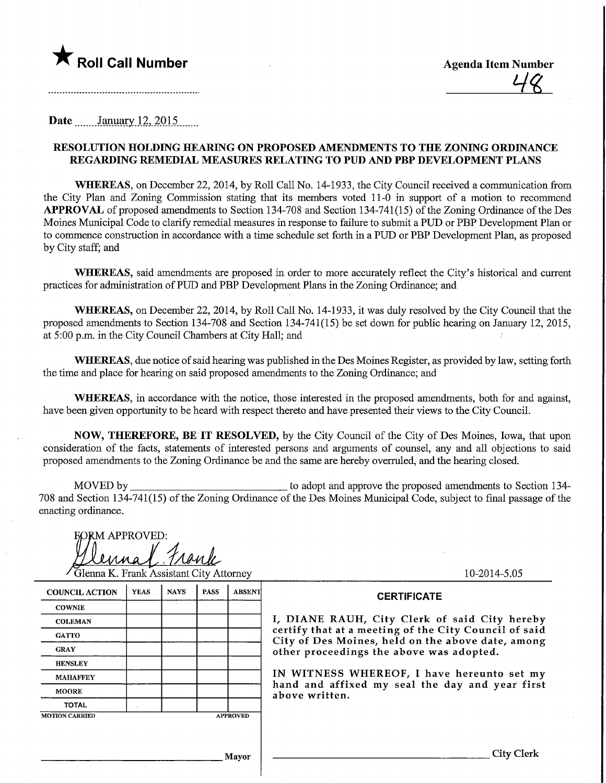

10-2014-5.05

City Clerk

Date........January.l2,\_2015,

### RESOLUTION HOUMNG HEARING ON PROPOSED AMENDMENTS TO THE ZONING ORDmANCE REGARDING REMEDIAL MEASURES RELATWG TO PUD AND PBP DEVELOPMENT PLANS

WHEREAS, on December 22, 2014, by Roll Call No. 14-1933, the City Council received a communication from the City Plan and Zoning Commission stating that its members voted 11-0 m support of a motion to recommend APPROVAL of proposed amendments to Section 134-708 and Section 134-741(15) of the Zoning Ordinance of the Des Moines Municipal Code to clarify remedial measures in response to failure to submit a PUD or PBP Development Plan or to commence construction in accordance with a time schedule set forth in a PUD or PBP Development Plan, as proposed by City staff; and

WHEREAS, said amendments are proposed in order to more accurately reflect the City's historical and current practices for administration ofPUD and PBP Development Plans in the Zoning Ordinance; and

WHEREAS, on December 22, 2014, by Roll Call No. 14-1933, it was duly resolved by the City Council that the proposed amendments to Section 134-708 and Section 134-741(15) be set down for public hearing on January 12, 2015, at 5:00 p.m. in the City Council Chambers at City Hall; and

WHEREAS, due notice of said hearing was published in the Des Moines Register, as provided by law, setting forth the time and place for hearing on said proposed amendments to the Zoning Ordinance; and

WHEREAS, in accordance with the notice, those interested in the proposed amendments, both for and against, have been given opportunity to be heard with respect thereto and have presented their views to the City Council.

NOW, THEREFORE, BE IT RESOLVED, by the City Council of the City of Des Moines, Iowa, that upon consideration of the facts, statements of interested persons and arguments of counsel, any and all objections to said proposed amendments to the Zoning Ordinance be and the same are hereby overruled, and the hearing closed.

MOVED by. to adopt and approve the proposed amendments to Section 134-708 and Section 134-741(15) of the Zoning Ordinance of the Des Moines Municipal Code, subject to final passage of the enacting ordinance.

| <b>FORM APPROVED:</b> |                                         |
|-----------------------|-----------------------------------------|
|                       |                                         |
|                       | ennal Trank                             |
|                       | Glenna K. Frank Assistant City Attorney |

| <b>COUNCIL ACTION</b> | <b>YEAS</b> | <b>NAYS</b> | <b>PASS</b> | <b>ABSENT</b>   | <b>CERTIFICATE</b>                                                                                         |  |  |  |  |
|-----------------------|-------------|-------------|-------------|-----------------|------------------------------------------------------------------------------------------------------------|--|--|--|--|
| <b>COWNIE</b>         |             |             |             |                 |                                                                                                            |  |  |  |  |
| <b>COLEMAN</b>        |             |             |             |                 | I, DIANE RAUH, City Clerk of said City hereby                                                              |  |  |  |  |
| <b>GATTO</b>          |             |             |             |                 | certify that at a meeting of the City Council of said<br>City of Des Moines, held on the above date, among |  |  |  |  |
| <b>GRAY</b>           |             |             |             |                 | other proceedings the above was adopted.                                                                   |  |  |  |  |
| <b>HENSLEY</b>        |             |             |             |                 |                                                                                                            |  |  |  |  |
| <b>MAHAFFEY</b>       |             |             |             |                 | IN WITNESS WHEREOF, I have hereunto set my                                                                 |  |  |  |  |
| <b>MOORE</b>          |             |             |             |                 | hand and affixed my seal the day and year first<br>above written.                                          |  |  |  |  |
| <b>TOTAL</b>          |             |             |             |                 |                                                                                                            |  |  |  |  |
| <b>MOTION CARRIED</b> |             |             |             | <b>APPROVED</b> |                                                                                                            |  |  |  |  |
|                       |             |             |             |                 |                                                                                                            |  |  |  |  |
|                       |             |             |             |                 |                                                                                                            |  |  |  |  |

,] layor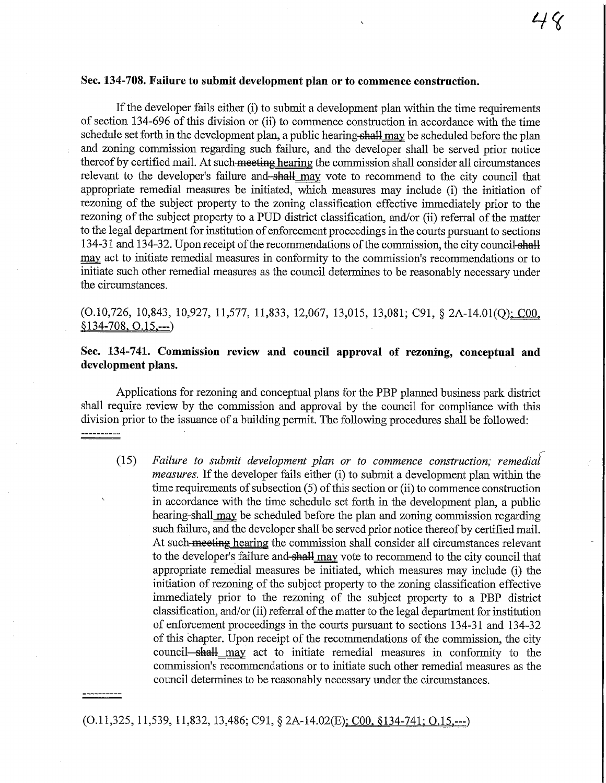#### Sec. 134-708. Failure to submit development plan or to commence construction.

If the developer fails either (i) to submit a development plan within the time requirements of section 134-696 of this division or (ii) to commence construction in accordance with the time schedule set forth in the development plan, a public hearing-shall may be scheduled before the plan and zoning commission regarding such failure, and the developer shall be served prior notice thereof by certified mail. At such meeting hearing the commission shall consider all circumstances relevant to the developer's failure and-shall may vote to recommend to the city council that appropriate remedial measures be initiated, which measures may include (1) the initiation of rezoning of the subject property to the zoning classification effective immediately prior to the rezomng of the subject property to a PUD district classification, and/or (ii) referral of the matter to the legal department for institution of enforcement proceedings in the courts pursuant to sections 134-31 and 134-32. Upon receipt of the recommendations of the commission, the city council-shall may act to initiate remedial measures in. conformity to the commission's recommendations or to initiate such other remedial measures as the council determines to be reasonably necessary under the circumstances.

# (0.10,726, 10,843, 10,927, 11,577, 11,833, 12,067, 13,015, 13,081; C91, § 2A-14.01(Q)i^OO, S 134-708. 0.15.—)

## Sec. 134-741. Commissiou review and council approval of rezoning, conceptual and development plans.

Applications for rezoning and conceptual plans for the PBP planned business park district shall require review by the commission and approval by the council for compliance with this division prior to the issuance of a building permit. The following procedures shall be followed: <u> ----------</u>

(15) Failure to submit development plan or to commence construction; measures. If the developer fails either (i) to submit a development plan within the time requirements of subsection (5) of this section or (ii) to commence construction in accordance with the time schedule set forth in the development plan, a public hearing-shall may be scheduled before the plan and zoning commission regarding such failure, and the developer shall be served prior notice thereof by certified mail. At such meeting hearing the commission shall consider all circumstances relevant to the developer's failure and-shall may vote to recommend to the city council that appropriate remedial measures be initiated, which measures may include (i) the initiation of rezoning of the subject property to the zoning classification effective immediately prior to the rezoning of the subject property to a PBP district classification, and/or (ii) referral of the matter to the legal department for institution of enforcement proceedings in the courts pursuant to sections 134-31 and 134-32 of this chapter. Upon receipt of the recommendations of the commission, fhe city council—shall may act to initiate remedial measures in conformity to the commission's recommendations or to initiate such other remedial measures as the council determines to be reasonably necessary under the circumstances.

#### (0.11,325,11,539,11,832, 13,486; C91, § 2A-14.02(E)i COO. S134-741: 0.15.—)

.........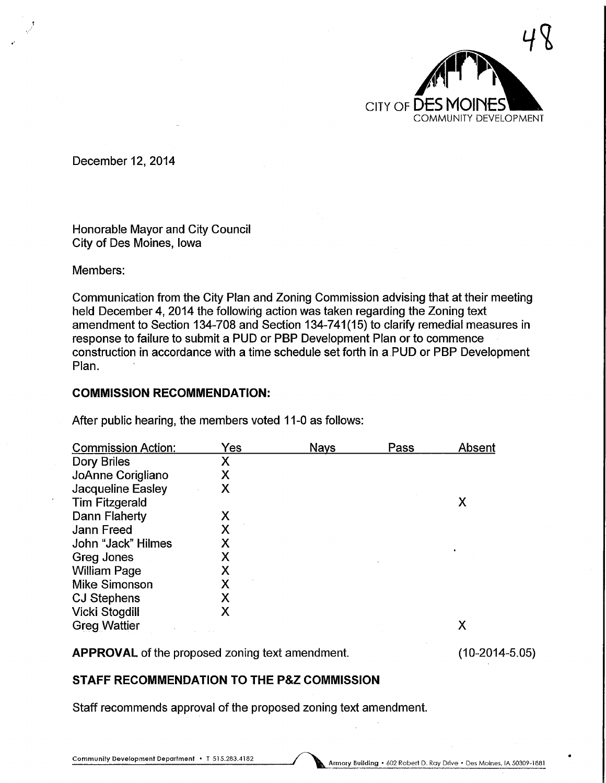

December 12, 2014

Honorable Mayor and City Council City of Des Moines, Iowa

Members:

Communication from the City Plan and Zoning Commission advising that at their meeting held December 4, 2014 the following action was taken regarding the Zoning text amendment to Section 134-708 and Section 134-741(15) to clarify remedial measures in response to failure to submit a PUD or PBP Development Plan or to commence construction in accordance with a time schedule set forth in a PUD or PBP Development Plan.

### COMMISSION RECOMMENDATION:

After public hearing, the members voted 11-0 as follows:

| <b>Commission Action:</b> | Yes | <b>Nays</b> | Pass | Absent |
|---------------------------|-----|-------------|------|--------|
| Dory Briles               | Х   |             |      |        |
| JoAnne Corigliano         | Χ   |             |      |        |
| Jacqueline Easley         | Х   |             |      |        |
| <b>Tim Fitzgerald</b>     |     |             |      | Х      |
| Dann Flaherty             | Х   |             |      |        |
| Jann Freed                | Χ   |             |      |        |
| John "Jack" Hilmes        | Χ   |             |      |        |
| Greg Jones                | Х   |             |      |        |
| <b>William Page</b>       | Х   |             |      |        |
| <b>Mike Simonson</b>      | Χ   |             |      |        |
| <b>CJ Stephens</b>        | X   |             |      |        |
| Vicki Stogdill            | Χ   |             |      |        |
| <b>Greg Wattier</b>       |     |             |      | Х      |

APPROVAL of the proposed zoning text amendment.

(10-2014-5.05)

## STAFF RECOMMENDATION TO THE P&Z COMMISSION

Staff recommends approval of the proposed zoning text amendment.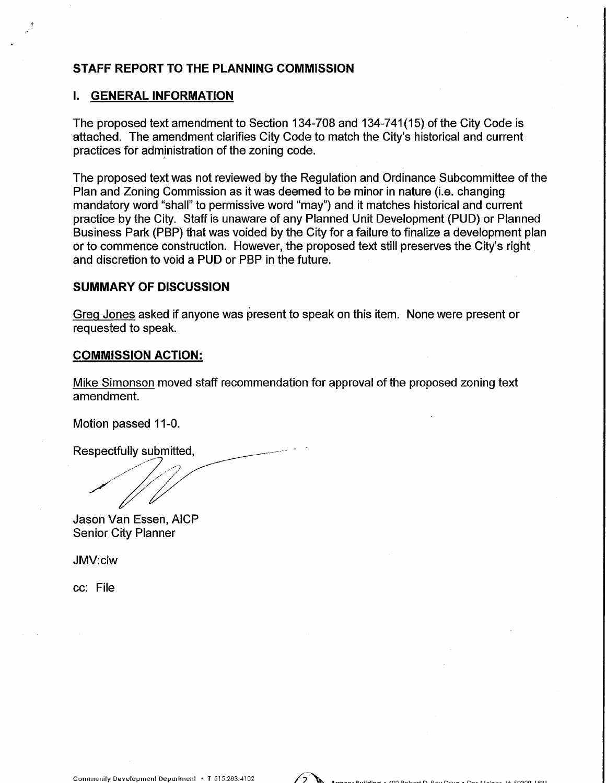# STAFF REPORT TO THE PLANNING COMMISSION

### I. GENERAL INFORMATION

The proposed text amendment to Section 134-708 and 134-741(15) of the City Code is attached. The amendment clarifies City Code to match the City's historical and current practices for administration of the zoning code.

The proposed text was not reviewed by the Regulation and Ordinance Subcommittee of the Plan and Zoning Commission as it was deemed to be minor in nature (i.e. changing mandatory word "shall" to permissive word "may") and it matches historical and current practice by the City. Staff is unaware of any Planned Unit Development (PUD) or Planned Business Park (PBP) that was voided by the City for a failure to finalize a development plan or to commence construction. However, the proposed text still preserves the City's right and discretion to void a PUD or PBP in the future.

### SUMMARY OF DISCUSSION

Greg Jones asked if anyone was present to speak on this item. None were present or requested to speak.

### COMMISSION ACTION:

Mike Simonson moved staff recommendation for approval of the proposed zoning text amendment.

Motion passed 11-0.

Respectfully submitted,

Jason Van Essen, AICP Senior City Planner

JMV:clw

ec: File